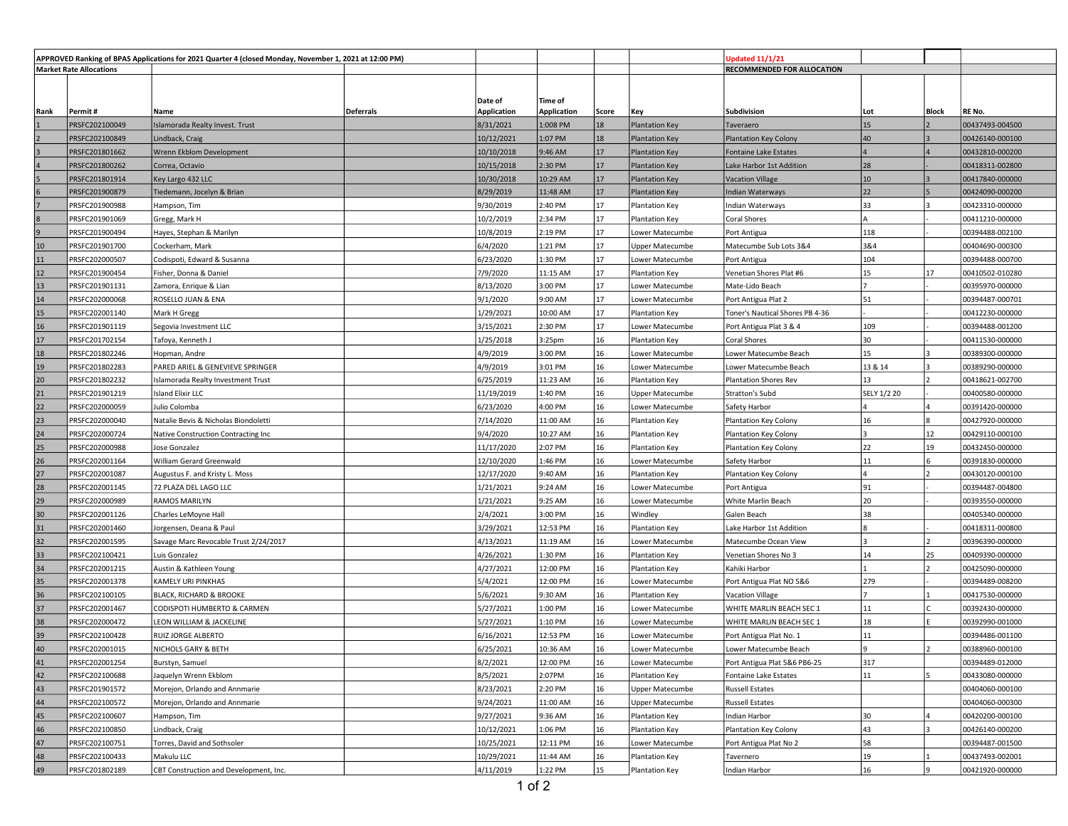| APPROVED Ranking of BPAS Applications for 2021 Quarter 4 (closed Monday, November 1, 2021 at 12:00 PM) |                                  |                                              |                  |                        |                     |          | Jpdated 11/1/21                   |                                         |             |              |                                    |
|--------------------------------------------------------------------------------------------------------|----------------------------------|----------------------------------------------|------------------|------------------------|---------------------|----------|-----------------------------------|-----------------------------------------|-------------|--------------|------------------------------------|
| <b>Market Rate Allocations</b>                                                                         |                                  |                                              |                  |                        |                     |          |                                   | RECOMMENDED FOR ALLOCATION              |             |              |                                    |
|                                                                                                        |                                  |                                              |                  |                        |                     |          |                                   |                                         |             |              |                                    |
|                                                                                                        |                                  |                                              |                  | Date of                | Time of             |          |                                   |                                         |             |              |                                    |
| Rank                                                                                                   | Permit #                         | Name                                         | <b>Deferrals</b> | <b>Application</b>     | <b>Application</b>  | Score    | Key                               | Subdivision                             | Lot         | <b>Block</b> | RE No.                             |
|                                                                                                        | PRSFC202100049                   | Islamorada Realty Invest. Trust              |                  | 8/31/2021              | 1:008 PM            | 18       | <b>Plantation Key</b>             | Taveraero                               | 15          |              | 00437493-004500                    |
|                                                                                                        | PRSFC202100849                   | Lindback, Craig                              |                  | 10/12/2021             | 1:07 PM             | 18       | <b>Plantation Key</b>             | <b>Plantation Key Colony</b>            | 40          |              | 00426140-000100                    |
|                                                                                                        | PRSFC201801662                   | Wrenn Ekblom Development                     |                  | 10/10/2018             | 9:46 AM             | 17       | <b>Plantation Key</b>             | <b>Fontaine Lake Estates</b>            |             |              | 00432810-000200                    |
|                                                                                                        | PRSFC201800262                   | Correa, Octavio                              |                  | 10/15/2018             | 2:30 PM             | 17       | <b>Plantation Key</b>             | Lake Harbor 1st Addition                | 28          |              | 00418311-002800                    |
|                                                                                                        | PRSFC201801914                   | Key Largo 432 LLC                            |                  | 10/30/2018             | 10:29 AM            | 17       | <b>Plantation Key</b>             | Vacation Village                        | 10          |              | 00417840-000000                    |
|                                                                                                        | PRSFC201900879                   | Tiedemann, Jocelyn & Brian                   |                  | 8/29/2019              | 11:48 AM            | 17<br>17 | <b>Plantation Key</b>             | Indian Waterways                        | 22          |              | 00424090-000200                    |
|                                                                                                        | PRSFC201900988                   | Hampson, Tim                                 |                  | 9/30/2019              | 2:40 PM             |          | <b>Plantation Key</b>             | Indian Waterways                        | 33          |              | 00423310-000000                    |
| <b>g</b>                                                                                               | PRSFC201901069                   | Gregg, Mark H                                |                  | 10/2/2019              | 2:34 PM             | 17<br>17 | <b>Plantation Key</b>             | Coral Shores                            |             |              | 00411210-000000                    |
| 10                                                                                                     | PRSFC201900494                   | Hayes, Stephan & Marilyn                     |                  | 10/8/2019              | 2:19 PM             | 17       | Lower Matecumbe                   | Port Antigua                            | 118<br>3&4  |              | 00394488-002100                    |
| 11                                                                                                     | PRSFC201901700<br>PRSFC202000507 | Cockerham, Mark                              |                  | 6/4/2020<br>6/23/2020  | 1:21 PM<br>1:30 PM  | 17       | <b>Upper Matecumbe</b>            | Matecumbe Sub Lots 3&4                  | 104         |              | 00404690-000300<br>00394488-000700 |
|                                                                                                        |                                  | Codispoti, Edward & Susanna                  |                  |                        |                     | 17       | Lower Matecumbe                   | Port Antigua                            | 15          |              |                                    |
| 12                                                                                                     | PRSFC201900454                   | Fisher, Donna & Daniel                       |                  | 7/9/2020               | 11:15 AM            | 17       | <b>Plantation Key</b>             | Venetian Shores Plat #6                 |             | 17           | 00410502-010280                    |
| 13<br>14                                                                                               | PRSFC201901131<br>PRSFC202000068 | Zamora, Enrique & Lian<br>ROSELLO JUAN & ENA |                  | 8/13/2020<br>9/1/2020  | 3:00 PM<br>9:00 AM  | 17       | Lower Matecumbe                   | Mate-Lido Beach                         | 51          |              | 00395970-000000<br>00394487-000701 |
|                                                                                                        |                                  |                                              |                  |                        |                     | 17       | Lower Matecumbe<br>Plantation Key | Port Antigua Plat 2                     |             |              |                                    |
| 15<br>16                                                                                               | PRSFC202001140<br>PRSFC201901119 | Mark H Gregg<br>Segovia Investment LLC       |                  | 1/29/2021<br>3/15/2021 | 10:00 AM<br>2:30 PM | 17       | Lower Matecumbe                   | Toner's Nautical Shores PB 4-36         | 109         |              | 00412230-000000<br>00394488-001200 |
| 17                                                                                                     | PRSFC201702154                   | Tafoya, Kenneth J                            |                  | 1/25/2018              | 3:25 <sub>pm</sub>  | 16       | <b>Plantation Key</b>             | Port Antigua Plat 3 & 4<br>Coral Shores | 30          |              | 00411530-000000                    |
| 18                                                                                                     | PRSFC201802246                   | Hopman, Andre                                |                  | 4/9/2019               | 3:00 PM             | 16       | Lower Matecumbe                   | Lower Matecumbe Beach                   | 15          |              | 00389300-000000                    |
| 19                                                                                                     | PRSFC201802283                   | PARED ARIEL & GENEVIEVE SPRINGER             |                  | 4/9/2019               | 3:01 PM             | 16       | Lower Matecumbe                   | Lower Matecumbe Beach                   | 13 & 14     |              | 00389290-000000                    |
| 20                                                                                                     | PRSFC201802232                   | Islamorada Realty Investment Trust           |                  | 6/25/2019              | 11:23 AM            | 16       | <b>Plantation Key</b>             | Plantation Shores Rev                   | 13          |              | 00418621-002700                    |
| 21                                                                                                     | PRSFC201901219                   | <b>Island Elixir LLC</b>                     |                  | 11/19/2019             | 1:40 PM             | 16       | <b>Upper Matecumbe</b>            | <b>Stratton's Subd</b>                  | SELY 1/2 20 |              | 00400580-000000                    |
| 22                                                                                                     | PRSFC202000059                   | Julio Colomba                                |                  | 6/23/2020              | 4:00 PM             | 16       | Lower Matecumbe                   | Safety Harbor                           |             |              | 00391420-000000                    |
| 23                                                                                                     | PRSFC202000040                   | Natalie Bevis & Nicholas Biondoletti         |                  | 7/14/2020              | 11:00 AM            | 16       | <b>Plantation Key</b>             | Plantation Key Colony                   | 16          |              | 00427920-000000                    |
| 24                                                                                                     | PRSFC202000724                   | Native Construction Contracting Inc          |                  | 9/4/2020               | 10:27 AM            | 16       | <b>Plantation Key</b>             | Plantation Key Colony                   |             | 12           | 00429110-000100                    |
| 25                                                                                                     | PRSFC202000988                   | Jose Gonzalez                                |                  | 11/17/2020             | 2:07 PM             | 16       | <b>Plantation Key</b>             | Plantation Key Colony                   | 22          | 19           | 00432450-000000                    |
| 26                                                                                                     | PRSFC202001164                   | William Gerard Greenwald                     |                  | 12/10/2020             | 1:46 PM             | 16       | Lower Matecumbe                   | Safety Harbor                           | 11          |              | 00391830-000000                    |
| 27                                                                                                     | PRSFC202001087                   | Augustus F. and Kristy L. Moss               |                  | 12/17/2020             | 9:40 AM             | 16       | <b>Plantation Key</b>             | Plantation Key Colony                   |             |              | 00430120-000100                    |
| 28                                                                                                     | PRSFC202001145                   | 72 PLAZA DEL LAGO LLC                        |                  | 1/21/2021              | 9:24 AM             | 16       | Lower Matecumbe                   | Port Antigua                            | 91          |              | 00394487-004800                    |
| 29                                                                                                     | PRSFC202000989                   | RAMOS MARILYN                                |                  | 1/21/2021              | 9:25 AM             | 16       | Lower Matecumbe                   | White Marlin Beach                      | 20          |              | 00393550-000000                    |
| 30                                                                                                     | PRSFC202001126                   | Charles LeMoyne Hall                         |                  | 2/4/2021               | 3:00 PM             | 16       | Windley                           | Galen Beach                             | 38          |              | 00405340-000000                    |
| 31                                                                                                     | PRSFC202001460                   | Jorgensen, Deana & Paul                      |                  | 3/29/2021              | 12:53 PM            | 16       | <b>Plantation Key</b>             | Lake Harbor 1st Addition                |             |              | 00418311-000800                    |
| 32                                                                                                     | PRSFC202001595                   | Savage Marc Revocable Trust 2/24/2017        |                  | 4/13/2021              | 11:19 AM            | 16       | Lower Matecumbe                   | Matecumbe Ocean View                    |             |              | 00396390-000000                    |
| 33                                                                                                     | PRSFC202100421                   | Luis Gonzalez                                |                  | 4/26/2021              | 1:30 PM             | 16       | <b>Plantation Key</b>             | Venetian Shores No 3                    | 14          | 25           | 00409390-000000                    |
| 34                                                                                                     | PRSFC202001215                   | Austin & Kathleen Young                      |                  | 4/27/2021              | 12:00 PM            | 16       | <b>Plantation Key</b>             | Kahiki Harbor                           |             |              | 00425090-000000                    |
| 35                                                                                                     | PRSFC202001378                   | KAMELY URI PINKHAS                           |                  | 5/4/2021               | 12:00 PM            | 16       | Lower Matecumbe                   | Port Antigua Plat NO 5&6                | 279         |              | 00394489-008200                    |
| 36                                                                                                     | PRSFC202100105                   | BLACK, RICHARD & BROOKE                      |                  | 5/6/2021               | 9:30 AM             | 16       | Plantation Key                    | Vacation Village                        |             |              | 00417530-000000                    |
| 37                                                                                                     | PRSFC202001467                   | CODISPOTI HUMBERTO & CARMEN                  |                  | 5/27/2021              | 1:00 PM             | 16       | Lower Matecumbe                   | WHITE MARLIN BEACH SEC 1                | 11          |              | 00392430-000000                    |
| 38                                                                                                     | PRSFC202000472                   | LEON WILLIAM & JACKELINE                     |                  | 5/27/2021              | 1:10 PM             | 16       | Lower Matecumbe                   | WHITE MARLIN BEACH SEC 1                | 18          |              | 00392990-001000                    |
| 39                                                                                                     | PRSFC202100428                   | RUIZ JORGE ALBERTO                           |                  | 6/16/2021              | 12:53 PM            | 16       | Lower Matecumbe                   | Port Antigua Plat No. 1                 | 11          |              | 00394486-001100                    |
| 40                                                                                                     | PRSFC202001015                   | NICHOLS GARY & BETH                          |                  | 6/25/2021              | 10:36 AM            | 16       | Lower Matecumbe                   | Lower Matecumbe Beach                   |             |              | 00388960-000100                    |
| 41                                                                                                     | PRSFC202001254                   | Burstyn, Samuel                              |                  | 8/2/2021               | 12:00 PM            | 16       | Lower Matecumbe                   | Port Antigua Plat 5&6 PB6-25            | 317         |              | 00394489-012000                    |
| 42                                                                                                     | PRSFC202100688                   | Jaquelyn Wrenn Ekblom                        |                  | 8/5/2021               | 2:07PM              | 16       | <b>Plantation Key</b>             | Fontaine Lake Estates                   | 11          |              | 00433080-000000                    |
| 43                                                                                                     | PRSFC201901572                   | Morejon, Orlando and Annmarie                |                  | 8/23/2021              | 2:20 PM             | 16       | <b>Upper Matecumbe</b>            | Russell Estates                         |             |              | 00404060-000100                    |
| 44                                                                                                     | PRSFC202100572                   | Morejon, Orlando and Annmarie                |                  | 9/24/2021              | 11:00 AM            | 16       | <b>Upper Matecumbe</b>            | <b>Russell Estates</b>                  |             |              | 00404060-000300                    |
| 45                                                                                                     | PRSFC202100607                   | Hampson, Tim                                 |                  | 9/27/2021              | 9:36 AM             | 16       | <b>Plantation Key</b>             | Indian Harbor                           | 30          |              | 00420200-000100                    |
| 46                                                                                                     | PRSFC202100850                   | Lindback, Craig                              |                  | 10/12/2021             | 1:06 PM             | 16       | Plantation Key                    | Plantation Key Colony                   | 43          |              | 00426140-000200                    |
| 47                                                                                                     | PRSFC202100751                   | Torres, David and Sothsoler                  |                  | 10/25/2021             | 12:11 PM            | 16       | Lower Matecumbe                   | Port Antigua Plat No 2                  | 58          |              | 00394487-001500                    |
| 48                                                                                                     | PRSFC202100433                   | Makulu LLC                                   |                  | 10/29/2021             | 11:44 AM            | 16       | Plantation Key                    | Tavernero                               | 19          |              | 00437493-002001                    |
| 49                                                                                                     | PRSFC201802189                   | CBT Construction and Development, Inc.       |                  | 4/11/2019              | 1:22 PM             | 15       | <b>Plantation Key</b>             | Indian Harbor                           | 16          |              | 00421920-000000                    |